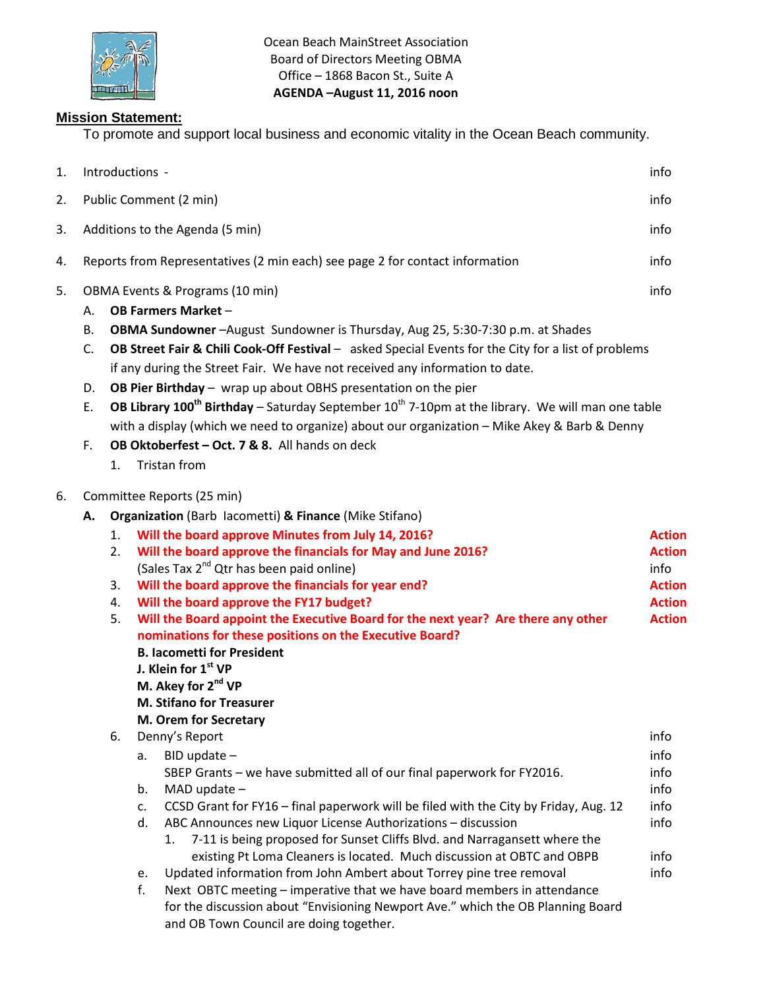

Ocean Beach MainStreet Association Board of Directors Meeting OBMA Office – 1868 Bacon St., Suite A **AGENDA –August 11, 2016 noon**

## **Mission Statement:**

To promote and support local business and economic vitality in the Ocean Beach community.

| 1. |                            |                                                                                              | Introductions -                                                                                                                                                                                             | info          |  |  |
|----|----------------------------|----------------------------------------------------------------------------------------------|-------------------------------------------------------------------------------------------------------------------------------------------------------------------------------------------------------------|---------------|--|--|
| 2. |                            |                                                                                              | Public Comment (2 min)                                                                                                                                                                                      | info          |  |  |
| 3. |                            |                                                                                              | Additions to the Agenda (5 min)                                                                                                                                                                             | info          |  |  |
| 4. |                            |                                                                                              | Reports from Representatives (2 min each) see page 2 for contact information                                                                                                                                | info          |  |  |
| 5. |                            |                                                                                              | OBMA Events & Programs (10 min)                                                                                                                                                                             | info          |  |  |
|    | А.                         |                                                                                              | <b>OB Farmers Market -</b>                                                                                                                                                                                  |               |  |  |
|    | В.<br>C.                   |                                                                                              | OBMA Sundowner - August Sundowner is Thursday, Aug 25, 5:30-7:30 p.m. at Shades<br>OB Street Fair & Chili Cook-Off Festival - asked Special Events for the City for a list of problems                      |               |  |  |
|    |                            |                                                                                              | if any during the Street Fair. We have not received any information to date.                                                                                                                                |               |  |  |
|    | D.                         |                                                                                              | OB Pier Birthday - wrap up about OBHS presentation on the pier                                                                                                                                              |               |  |  |
|    | E.                         |                                                                                              | OB Library 100 <sup>th</sup> Birthday – Saturday September $10^{th}$ 7-10pm at the library. We will man one table                                                                                           |               |  |  |
|    |                            | with a display (which we need to organize) about our organization - Mike Akey & Barb & Denny |                                                                                                                                                                                                             |               |  |  |
|    | F.                         |                                                                                              | OB Oktoberfest - Oct. 7 & 8. All hands on deck                                                                                                                                                              |               |  |  |
|    |                            | 1.                                                                                           | Tristan from                                                                                                                                                                                                |               |  |  |
| 6. | Committee Reports (25 min) |                                                                                              |                                                                                                                                                                                                             |               |  |  |
|    | А.                         |                                                                                              | Organization (Barb Iacometti) & Finance (Mike Stifano)                                                                                                                                                      |               |  |  |
|    |                            | 1.                                                                                           | Will the board approve Minutes from July 14, 2016?                                                                                                                                                          | <b>Action</b> |  |  |
|    |                            | 2.                                                                                           | Will the board approve the financials for May and June 2016?                                                                                                                                                | <b>Action</b> |  |  |
|    |                            |                                                                                              | (Sales Tax 2 <sup>nd</sup> Qtr has been paid online)                                                                                                                                                        | info          |  |  |
|    |                            | 3.                                                                                           | Will the board approve the financials for year end?                                                                                                                                                         | <b>Action</b> |  |  |
|    |                            | 4.                                                                                           | Will the board approve the FY17 budget?                                                                                                                                                                     | <b>Action</b> |  |  |
|    |                            | 5.                                                                                           | Will the Board appoint the Executive Board for the next year? Are there any other                                                                                                                           | <b>Action</b> |  |  |
|    |                            |                                                                                              | nominations for these positions on the Executive Board?                                                                                                                                                     |               |  |  |
|    |                            |                                                                                              | <b>B. lacometti for President</b>                                                                                                                                                                           |               |  |  |
|    |                            |                                                                                              | J. Klein for 1 <sup>st</sup> VP<br>M. Akey for 2 <sup>nd</sup> VP                                                                                                                                           |               |  |  |
|    |                            |                                                                                              | <b>M. Stifano for Treasurer</b>                                                                                                                                                                             |               |  |  |
|    |                            |                                                                                              | M. Orem for Secretary                                                                                                                                                                                       |               |  |  |
|    |                            | 6.                                                                                           | Denny's Report                                                                                                                                                                                              | info          |  |  |
|    |                            |                                                                                              | $BID$ update $-$<br>a.                                                                                                                                                                                      | info          |  |  |
|    |                            |                                                                                              | SBEP Grants - we have submitted all of our final paperwork for FY2016.                                                                                                                                      | info          |  |  |
|    |                            |                                                                                              | b.<br>MAD update $-$                                                                                                                                                                                        | info          |  |  |
|    |                            |                                                                                              | CCSD Grant for FY16 - final paperwork will be filed with the City by Friday, Aug. 12<br>c.                                                                                                                  | info          |  |  |
|    |                            |                                                                                              | ABC Announces new Liquor License Authorizations - discussion<br>d.                                                                                                                                          | info          |  |  |
|    |                            |                                                                                              | 7-11 is being proposed for Sunset Cliffs Blvd. and Narragansett where the<br>1.                                                                                                                             |               |  |  |
|    |                            |                                                                                              | existing Pt Loma Cleaners is located. Much discussion at OBTC and OBPB                                                                                                                                      | info          |  |  |
|    |                            |                                                                                              | Updated information from John Ambert about Torrey pine tree removal<br>e.                                                                                                                                   | info          |  |  |
|    |                            |                                                                                              | f.<br>Next OBTC meeting - imperative that we have board members in attendance<br>for the discussion about "Envisioning Newport Ave." which the OB Planning Board<br>and OB Town Council are doing together. |               |  |  |